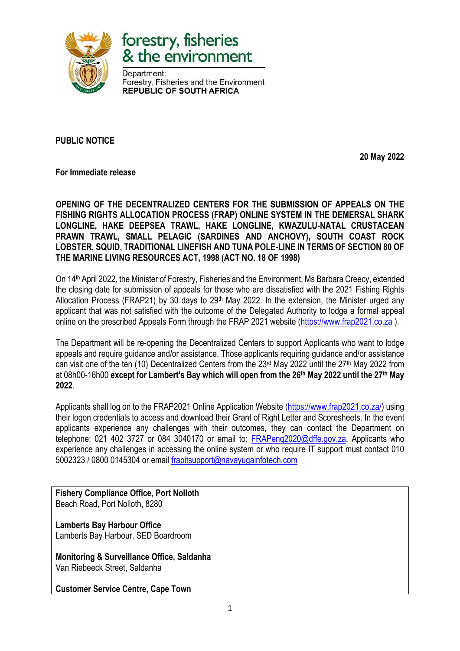



Department: Forestry, Fisheries and the Environment **REPUBLIC OF SOUTH AFRICA** 

**PUBLIC NOTICE**

**20 May 2022**

**For Immediate release**

**OPENING OF THE DECENTRALIZED CENTERS FOR THE SUBMISSION OF APPEALS ON THE FISHING RIGHTS ALLOCATION PROCESS (FRAP) ONLINE SYSTEM IN THE DEMERSAL SHARK LONGLINE, HAKE DEEPSEA TRAWL, HAKE LONGLINE, KWAZULU-NATAL CRUSTACEAN PRAWN TRAWL, SMALL PELAGIC (SARDINES AND ANCHOVY), SOUTH COAST ROCK LOBSTER, SQUID, TRADITIONAL LINEFISH AND TUNA POLE-LINE IN TERMS OF SECTION 80 OF THE MARINE LIVING RESOURCES ACT, 1998 (ACT NO. 18 OF 1998)**

On 14th April 2022, the Minister of Forestry, Fisheries and the Environment, Ms Barbara Creecy, extended the closing date for submission of appeals for those who are dissatisfied with the 2021 Fishing Rights Allocation Process (FRAP21) by 30 days to  $29<sup>th</sup>$  May 2022. In the extension, the Minister urged any applicant that was not satisfied with the outcome of the Delegated Authority to lodge a formal appeal online on the prescribed Appeals Form through the FRAP 2021 website [\(https://www.frap2021.co.za](https://www.frap2021.co.za/) ).

The Department will be re-opening the Decentralized Centers to support Applicants who want to lodge appeals and require guidance and/or assistance. Those applicants requiring guidance and/or assistance can visit one of the ten (10) Decentralized Centers from the 23<sup>rd</sup> May 2022 until the 27<sup>th</sup> May 2022 from at 08h00-16h00 **except for Lambert's Bay which will open from the 26 th May 2022 until the 27th May 2022**.

Applicants shall log on to the FRAP2021 Online Application Website [\(https://www.frap2021.co.za/\)](https://www.frap2021.co.za/) using their logon credentials to access and download their Grant of Right Letter and Scoresheets. In the event applicants experience any challenges with their outcomes, they can contact the Department on telephone: 021 402 3727 or 084 3040170 or email to: FRAPeng2020@dffe.gov.za. Applicants who experience any challenges in accessing the online system or who require IT support must contact 010 5002323 / 0800 0145304 or email [frapitsupport@navayugainfotech.com](mailto:frapitsupport@navayugainfotech.com)

**Fishery Compliance Office, Port Nolloth** Beach Road, Port Nolloth, 8280

**Lamberts Bay Harbour Office** Lamberts Bay Harbour, SED Boardroom

**Monitoring & Surveillance Office, Saldanha** Van Riebeeck Street, Saldanha

**Customer Service Centre, Cape Town**